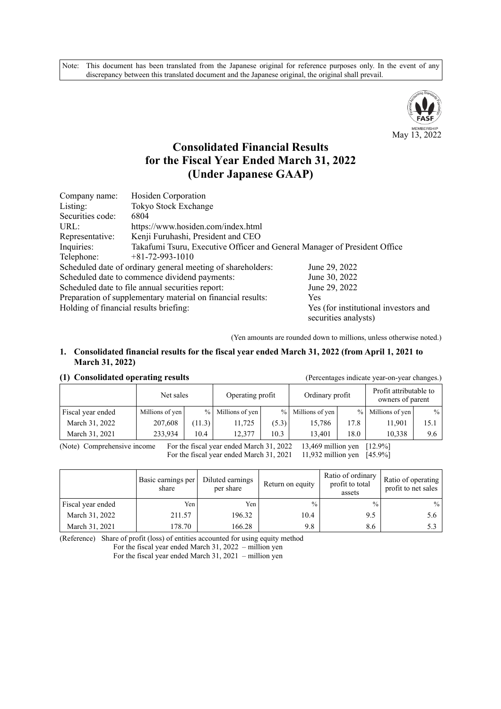Note: This document has been translated from the Japanese original for reference purposes only. In the event of any discrepancy between this translated document and the Japanese original, the original shall prevail.



# **Consolidated Financial Results for the Fiscal Year Ended March 31, 2022 (Under Japanese GAAP)**

| Company name:                          | Hosiden Corporation                                                       |                                                              |  |  |  |  |  |
|----------------------------------------|---------------------------------------------------------------------------|--------------------------------------------------------------|--|--|--|--|--|
| Listing:                               | Tokyo Stock Exchange                                                      |                                                              |  |  |  |  |  |
| Securities code:                       | 6804                                                                      |                                                              |  |  |  |  |  |
| URL:                                   | https://www.hosiden.com/index.html                                        |                                                              |  |  |  |  |  |
| Representative:                        | Kenji Furuhashi, President and CEO                                        |                                                              |  |  |  |  |  |
| Inquiries:                             | Takafumi Tsuru, Executive Officer and General Manager of President Office |                                                              |  |  |  |  |  |
| Telephone:                             | $+81-72-993-1010$                                                         |                                                              |  |  |  |  |  |
|                                        | Scheduled date of ordinary general meeting of shareholders:               | June 29, 2022                                                |  |  |  |  |  |
|                                        | Scheduled date to commence dividend payments:                             | June 30, 2022                                                |  |  |  |  |  |
|                                        | Scheduled date to file annual securities report:                          | June 29, 2022                                                |  |  |  |  |  |
|                                        | Preparation of supplementary material on financial results:               | <b>Yes</b>                                                   |  |  |  |  |  |
| Holding of financial results briefing: |                                                                           | Yes (for institutional investors and<br>securities analysts) |  |  |  |  |  |

(Yen amounts are rounded down to millions, unless otherwise noted.)

#### **1. Consolidated financial results for the fiscal year ended March 31, 2022 (from April 1, 2021 to March 31, 2022)**

### **(1) Consolidated operating results** (Percentages indicate year-on-year changes.)

| $(1)$ consolidated operating results<br>$\mu$ creentages mercate year on year enanges. |      |           |                  |                   |                   |                                            |               |  |  |
|----------------------------------------------------------------------------------------|------|-----------|------------------|-------------------|-------------------|--------------------------------------------|---------------|--|--|
|                                                                                        |      |           | Operating profit |                   |                   | Profit attributable to<br>owners of parent |               |  |  |
| Millions of yen                                                                        |      |           |                  |                   |                   | Millions of yen                            | $\%$          |  |  |
| 207,608                                                                                |      | 11.725    | (5.3)            | 15.786            | 17.8              | 11.901                                     | 15.1          |  |  |
| 233.934                                                                                | 10.4 | 12.377    | 10.3             | 13.401            | 18.0              | 10.338                                     | 9.6           |  |  |
|                                                                                        |      | Net sales | (11.3)           | % Millions of yen | % Millions of yen | Ordinary profit                            | $\frac{0}{0}$ |  |  |

(Note) Comprehensive income For the fiscal year ended March 31, 2022 13,469 million yen [12.9%] For the fiscal year ended March 31, 2021 11,932 million yen [45.9%]

|                   | Basic earnings per<br>share | Diluted earnings<br>per share | Return on equity | Ratio of ordinary<br>profit to total<br>assets | Ratio of operating<br>profit to net sales |
|-------------------|-----------------------------|-------------------------------|------------------|------------------------------------------------|-------------------------------------------|
| Fiscal year ended | Yen                         | Yen I                         | $\frac{0}{0}$    | $\frac{0}{0}$                                  | $\frac{0}{0}$                             |
| March 31, 2022    | 211.57                      | 196.32                        | 10.4             | 9.5                                            | 5.6                                       |
| March 31, 2021    | 178.70                      | 166.28                        | 9.8              | 8.6                                            |                                           |

(Reference) Share of profit (loss) of entities accounted for using equity method

For the fiscal year ended March 31, 2022 – million yen

For the fiscal year ended March 31, 2021 – million yen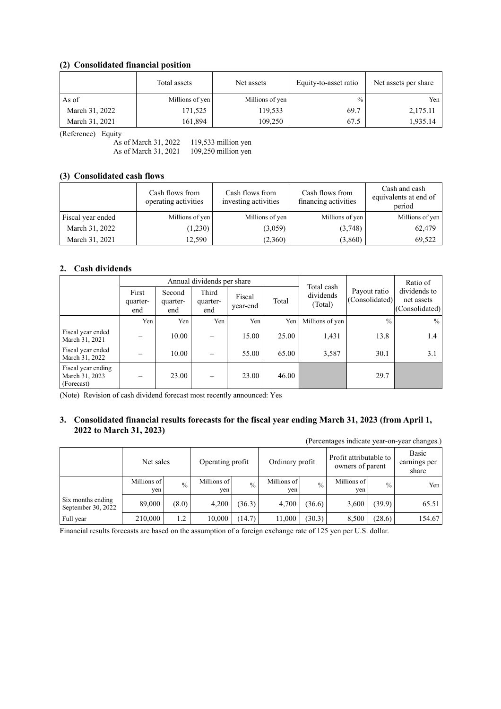### **(2) Consolidated financial position**

|                | Total assets    | Net assets      | Equity-to-asset ratio | Net assets per share |  |
|----------------|-----------------|-----------------|-----------------------|----------------------|--|
| As of          | Millions of yen | Millions of yen | $\frac{0}{0}$         | Yen                  |  |
| March 31, 2022 | 171,525         | 119,533         | 69.7                  | 2,175.11             |  |
| March 31, 2021 | 161,894         | 109,250         | 67.5                  | 1,935.14             |  |

(Reference) Equity

As of March 31, 2022 119,533 million yen As of March 31, 2021 109,250 million yen

### **(3) Consolidated cash flows**

|                   | Cash flows from<br>operating activities | Cash flows from<br>investing activities | Cash flows from<br>financing activities | Cash and cash<br>equivalents at end of<br>period |
|-------------------|-----------------------------------------|-----------------------------------------|-----------------------------------------|--------------------------------------------------|
| Fiscal year ended | Millions of yen                         | Millions of yen                         | Millions of yen                         | Millions of yen                                  |
| March 31, 2022    | (1,230)                                 | (3,059)                                 | (3,748)                                 | 62,479                                           |
| March 31, 2021    | 12,590                                  | (2,360)                                 | (3,860)                                 | 69,522                                           |

#### **2. Cash dividends**

|                                                    |                          |                           | Annual dividends per share |                    |       | Total cash           |                                | Ratio of<br>dividends to<br>net assets<br>(Consolidated) |  |
|----------------------------------------------------|--------------------------|---------------------------|----------------------------|--------------------|-------|----------------------|--------------------------------|----------------------------------------------------------|--|
|                                                    | First<br>quarter-<br>end | Second<br>quarter-<br>end | Third<br>quarter-<br>end   | Fiscal<br>year-end | Total | dividends<br>(Total) | Payout ratio<br>(Consolidated) |                                                          |  |
|                                                    | Yen                      | Yen                       | Yen                        | Yen                | Yen   | Millions of yen      | $\frac{0}{0}$                  | $\frac{0}{0}$                                            |  |
| Fiscal year ended<br>March 31, 2021                |                          | 10.00                     |                            | 15.00              | 25.00 | 1,431                | 13.8                           | 1.4                                                      |  |
| Fiscal year ended<br>March 31, 2022                |                          | 10.00                     |                            | 55.00              | 65.00 | 3,587                | 30.1                           | 3.1                                                      |  |
| Fiscal year ending<br>March 31, 2023<br>(Forecast) |                          | 23.00                     |                            | 23.00              | 46.00 |                      | 29.7                           |                                                          |  |

(Note) Revision of cash dividend forecast most recently announced: Yes

### **3. Consolidated financial results forecasts for the fiscal year ending March 31, 2023 (from April 1, 2022 to March 31, 2023)**

| (Percentages indicate year-on-year changes.) |                    |               |                    |               |                    |               |                                            |               |                                |  |  |
|----------------------------------------------|--------------------|---------------|--------------------|---------------|--------------------|---------------|--------------------------------------------|---------------|--------------------------------|--|--|
|                                              | Net sales          |               | Operating profit   |               | Ordinary profit    |               | Profit attributable to<br>owners of parent |               | Basic<br>earnings per<br>share |  |  |
|                                              | Millions of<br>yen | $\frac{0}{0}$ | Millions of<br>yen | $\frac{0}{0}$ | Millions of<br>yen | $\frac{0}{0}$ | Millions of<br>yen                         | $\frac{0}{0}$ | Yen                            |  |  |
| Six months ending<br>September 30, 2022      | 89,000             | (8.0)         | 4,200              | (36.3)        | 4.700              | (36.6)        | 3,600                                      | (39.9)        | 65.51                          |  |  |
| Full year                                    | 210,000            | 1.2           | 10,000             | (14.7)        | 11,000             | (30.3)        | 8,500                                      | (28.6)        | 154.67                         |  |  |

Financial results forecasts are based on the assumption of a foreign exchange rate of 125 yen per U.S. dollar.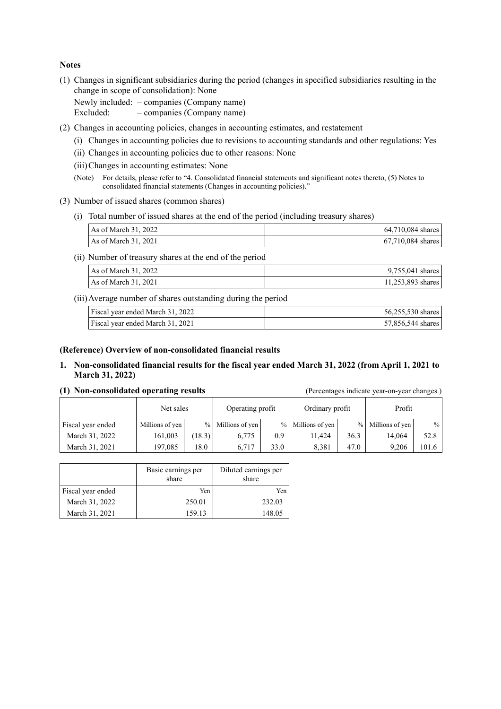#### **Notes**

(1) Changes in significant subsidiaries during the period (changes in specified subsidiaries resulting in the change in scope of consolidation): None

Newly included: – companies (Company name) Excluded: – companies (Company name)

- (2) Changes in accounting policies, changes in accounting estimates, and restatement
	- (i) Changes in accounting policies due to revisions to accounting standards and other regulations: Yes
	- (ii) Changes in accounting policies due to other reasons: None
	- (iii) Changes in accounting estimates: None
	- (Note) For details, please refer to "4. Consolidated financial statements and significant notes thereto, (5) Notes to consolidated financial statements (Changes in accounting policies)."

#### (3) Number of issued shares (common shares)

(i) Total number of issued shares at the end of the period (including treasury shares)

| As of March 31, 2022 | $64,710,084$ shares |
|----------------------|---------------------|
| As of March 31, 2021 | $67,710,084$ shares |

(ii) Number of treasury shares at the end of the period

| As of March 31, 2022 | $9,755,041$ shares |
|----------------------|--------------------|
| As of March 31, 2021 | 11,253,893 shares  |

(iii) Average number of shares outstanding during the period

| Fiscal year ended March 31, 2022 | 56,255,530 shares |
|----------------------------------|-------------------|
| Fiscal year ended March 31, 2021 | 57,856,544 shares |

#### **(Reference) Overview of non-consolidated financial results**

**1. Non-consolidated financial results for the fiscal year ended March 31, 2022 (from April 1, 2021 to March 31, 2022)** 

|  | (1) Non-consolidated operating results |  |  |
|--|----------------------------------------|--|--|
|--|----------------------------------------|--|--|

#### (Percentages indicate year-on-year changes.)

|                   | Net sales       |       | Operating profit  |      | Ordinary profit   |      | Profit          |       |
|-------------------|-----------------|-------|-------------------|------|-------------------|------|-----------------|-------|
| Fiscal year ended | Millions of yen |       | % Millions of yen |      | % Millions of yen | $\%$ | Millions of yen | $\%$  |
| March 31, 2022    | 161.003         | 18.3) | 6,775             | 0.9  | 11.424            | 36.3 | 14.064          | 52.8  |
| March 31, 2021    | 197,085         | 18.0  | 6,717             | 33.0 | 8.381             | 47.0 | 9.206           | 101.6 |

|                   | Basic earnings per<br>share | Diluted earnings per<br>share |
|-------------------|-----------------------------|-------------------------------|
| Fiscal year ended | Yen.                        | Yen                           |
| March 31, 2022    | 250.01                      | 232.03                        |
| March 31, 2021    | 159.13                      | 148.05                        |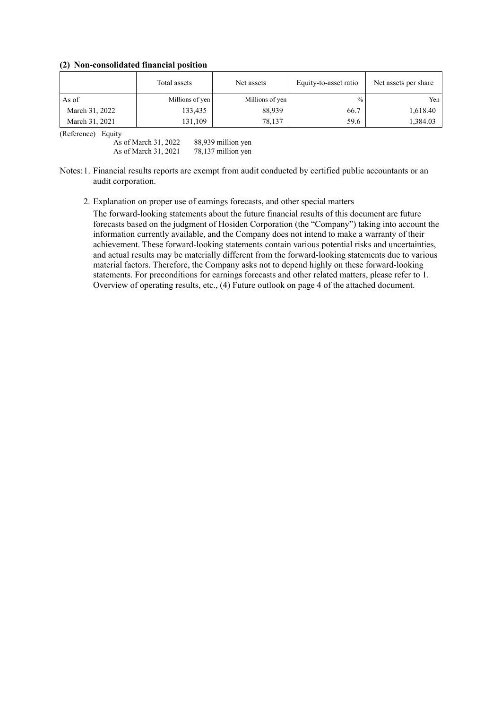**(2) Non-consolidated financial position** 

|                | Total assets    | Net assets      | Equity-to-asset ratio | Net assets per share |
|----------------|-----------------|-----------------|-----------------------|----------------------|
| As of          | Millions of yen | Millions of yen | $\frac{0}{0}$         | Yen                  |
| March 31, 2022 | 133,435         | 88,939          | 66.7                  | 1,618.40             |
| March 31, 2021 | 131,109         | 78,137          | 59.6                  | 1,384.03             |

(Reference) Equity

As of March 31, 2022 88,939 million yen As of March 31, 2021 78,137 million yen

#### Notes:1. Financial results reports are exempt from audit conducted by certified public accountants or an audit corporation.

2. Explanation on proper use of earnings forecasts, and other special matters

The forward-looking statements about the future financial results of this document are future forecasts based on the judgment of Hosiden Corporation (the "Company") taking into account the information currently available, and the Company does not intend to make a warranty of their achievement. These forward-looking statements contain various potential risks and uncertainties, and actual results may be materially different from the forward-looking statements due to various material factors. Therefore, the Company asks not to depend highly on these forward-looking statements. For preconditions for earnings forecasts and other related matters, please refer to 1. Overview of operating results, etc., (4) Future outlook on page 4 of the attached document.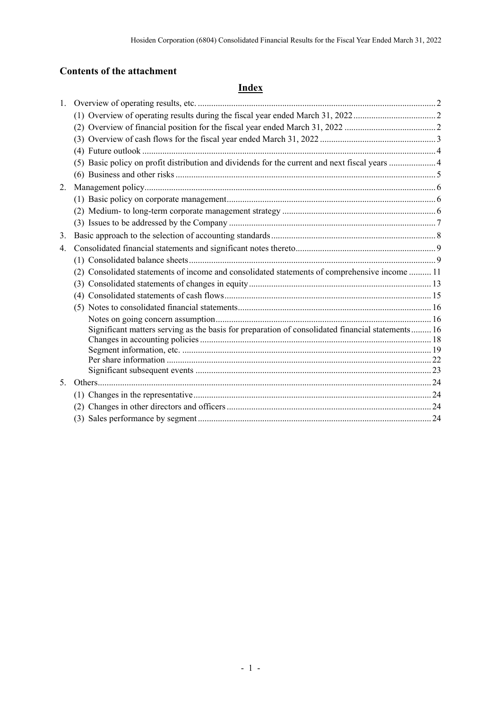# **Contents of the attachment**

# **Index**

| 1.      |                                                                                                  |  |
|---------|--------------------------------------------------------------------------------------------------|--|
|         |                                                                                                  |  |
|         |                                                                                                  |  |
|         |                                                                                                  |  |
|         |                                                                                                  |  |
|         | (5) Basic policy on profit distribution and dividends for the current and next fiscal years  4   |  |
|         |                                                                                                  |  |
| 2.      |                                                                                                  |  |
|         |                                                                                                  |  |
|         |                                                                                                  |  |
|         |                                                                                                  |  |
| 3.      |                                                                                                  |  |
| 4.      |                                                                                                  |  |
|         |                                                                                                  |  |
|         | (2) Consolidated statements of income and consolidated statements of comprehensive income  11    |  |
|         |                                                                                                  |  |
|         |                                                                                                  |  |
|         |                                                                                                  |  |
|         |                                                                                                  |  |
|         | Significant matters serving as the basis for preparation of consolidated financial statements 16 |  |
|         |                                                                                                  |  |
|         |                                                                                                  |  |
|         |                                                                                                  |  |
| $5_{-}$ |                                                                                                  |  |
|         |                                                                                                  |  |
|         |                                                                                                  |  |
|         |                                                                                                  |  |
|         |                                                                                                  |  |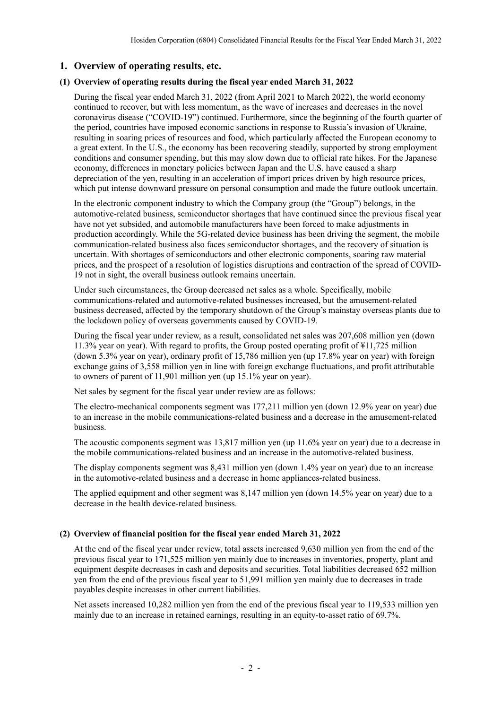### **1. Overview of operating results, etc.**

### **(1) Overview of operating results during the fiscal year ended March 31, 2022**

During the fiscal year ended March 31, 2022 (from April 2021 to March 2022), the world economy continued to recover, but with less momentum, as the wave of increases and decreases in the novel coronavirus disease ("COVID-19") continued. Furthermore, since the beginning of the fourth quarter of the period, countries have imposed economic sanctions in response to Russia's invasion of Ukraine, resulting in soaring prices of resources and food, which particularly affected the European economy to a great extent. In the U.S., the economy has been recovering steadily, supported by strong employment conditions and consumer spending, but this may slow down due to official rate hikes. For the Japanese economy, differences in monetary policies between Japan and the U.S. have caused a sharp depreciation of the yen, resulting in an acceleration of import prices driven by high resource prices, which put intense downward pressure on personal consumption and made the future outlook uncertain.

In the electronic component industry to which the Company group (the "Group") belongs, in the automotive-related business, semiconductor shortages that have continued since the previous fiscal year have not yet subsided, and automobile manufacturers have been forced to make adjustments in production accordingly. While the 5G-related device business has been driving the segment, the mobile communication-related business also faces semiconductor shortages, and the recovery of situation is uncertain. With shortages of semiconductors and other electronic components, soaring raw material prices, and the prospect of a resolution of logistics disruptions and contraction of the spread of COVID-19 not in sight, the overall business outlook remains uncertain.

Under such circumstances, the Group decreased net sales as a whole. Specifically, mobile communications-related and automotive-related businesses increased, but the amusement-related business decreased, affected by the temporary shutdown of the Group's mainstay overseas plants due to the lockdown policy of overseas governments caused by COVID-19.

During the fiscal year under review, as a result, consolidated net sales was 207,608 million yen (down 11.3% year on year). With regard to profits, the Group posted operating profit of ¥11,725 million (down 5.3% year on year), ordinary profit of 15,786 million yen (up 17.8% year on year) with foreign exchange gains of 3,558 million yen in line with foreign exchange fluctuations, and profit attributable to owners of parent of 11,901 million yen (up 15.1% year on year).

Net sales by segment for the fiscal year under review are as follows:

The electro-mechanical components segment was 177,211 million yen (down 12.9% year on year) due to an increase in the mobile communications-related business and a decrease in the amusement-related business.

The acoustic components segment was 13,817 million yen (up 11.6% year on year) due to a decrease in the mobile communications-related business and an increase in the automotive-related business.

The display components segment was 8,431 million yen (down 1.4% year on year) due to an increase in the automotive-related business and a decrease in home appliances-related business.

The applied equipment and other segment was 8,147 million yen (down 14.5% year on year) due to a decrease in the health device-related business.

### **(2) Overview of financial position for the fiscal year ended March 31, 2022**

At the end of the fiscal year under review, total assets increased 9,630 million yen from the end of the previous fiscal year to 171,525 million yen mainly due to increases in inventories, property, plant and equipment despite decreases in cash and deposits and securities. Total liabilities decreased 652 million yen from the end of the previous fiscal year to 51,991 million yen mainly due to decreases in trade payables despite increases in other current liabilities.

Net assets increased 10,282 million yen from the end of the previous fiscal year to 119,533 million yen mainly due to an increase in retained earnings, resulting in an equity-to-asset ratio of 69.7%.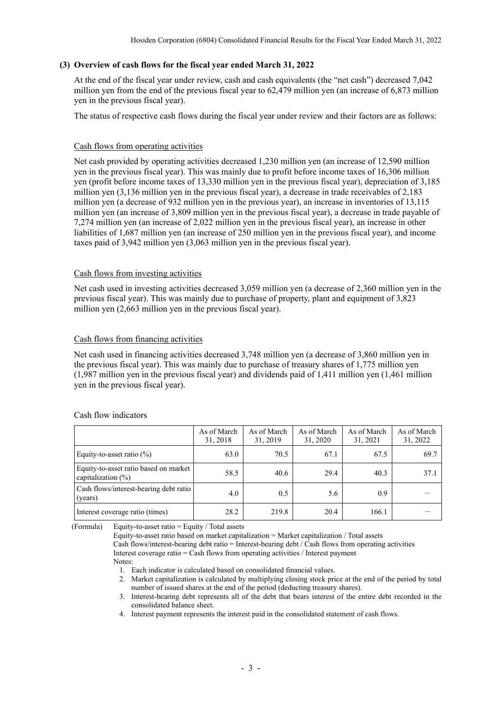### **(3) Overview of cash flows for the fiscal year ended March 31, 2022**

At the end of the fiscal year under review, cash and cash equivalents (the "net cash") decreased 7,042 million yen from the end of the previous fiscal year to 62,479 million yen (an increase of 6,873 million yen in the previous fiscal year).

The status of respective cash flows during the fiscal year under review and their factors are as follows:

#### Cash flows from operating activities

Net cash provided by operating activities decreased 1,230 million yen (an increase of 12,590 million yen in the previous fiscal year). This was mainly due to profit before income taxes of 16,306 million yen (profit before income taxes of 13,330 million yen in the previous fiscal year), depreciation of 3,185 million yen (3,136 million yen in the previous fiscal year), a decrease in trade receivables of 2,183 million yen (a decrease of 932 million yen in the previous year), an increase in inventories of 13,115 million yen (an increase of 3,809 million yen in the previous fiscal year), a decrease in trade payable of 7,274 million yen (an increase of 2,022 million yen in the previous fiscal year), an increase in other liabilities of 1,687 million yen (an increase of 250 million yen in the previous fiscal year), and income taxes paid of 3,942 million yen (3,063 million yen in the previous fiscal year).

#### Cash flows from investing activities

Net cash used in investing activities decreased 3,059 million yen (a decrease of 2,360 million yen in the previous fiscal year). This was mainly due to purchase of property, plant and equipment of 3,823 million yen (2,663 million yen in the previous fiscal year).

### Cash flows from financing activities

Net cash used in financing activities decreased 3,748 million yen (a decrease of 3,860 million yen in the previous fiscal year). This was mainly due to purchase of treasury shares of 1,775 million yen (1,987 million yen in the previous fiscal year) and dividends paid of 1,411 million yen (1,461 million yen in the previous fiscal year).

|                                                                 | As of March<br>31, 2018 | As of March<br>31, 2019 | As of March<br>31, 2020 | As of March<br>31, 2021 | As of March<br>31, 2022 |
|-----------------------------------------------------------------|-------------------------|-------------------------|-------------------------|-------------------------|-------------------------|
| Equity-to-asset ratio $(\%)$                                    | 63.0                    | 70.5                    | 67.1                    | 67.5                    | 69.7                    |
| Equity-to-asset ratio based on market<br>capitalization $(\% )$ | 58.5                    | 40.6                    | 29.4                    | 40.3                    | 37.1                    |
| Cash flows/interest-bearing debt ratio<br>(years)               | 4.0                     | 0.5                     | 5.6                     | 0.9                     |                         |
| Interest coverage ratio (times)                                 | 28.2                    | 219.8                   | 20.4                    | 166.1                   |                         |

#### Cash flow indicators

(Formula) Equity-to-asset ratio = Equity / Total assets

Equity-to-asset ratio based on market capitalization = Market capitalization / Total assets Cash flows/interest-bearing debt ratio = Interest-bearing debt / Cash flows from operating activities Interest coverage ratio = Cash flows from operating activities / Interest payment Notes:

1. Each indicator is calculated based on consolidated financial values.

- 2. Market capitalization is calculated by multiplying closing stock price at the end of the period by total number of issued shares at the end of the period (deducting treasury shares).
- 3. Interest-bearing debt represents all of the debt that bears interest of the entire debt recorded in the consolidated balance sheet.
- 4. Interest payment represents the interest paid in the consolidated statement of cash flows.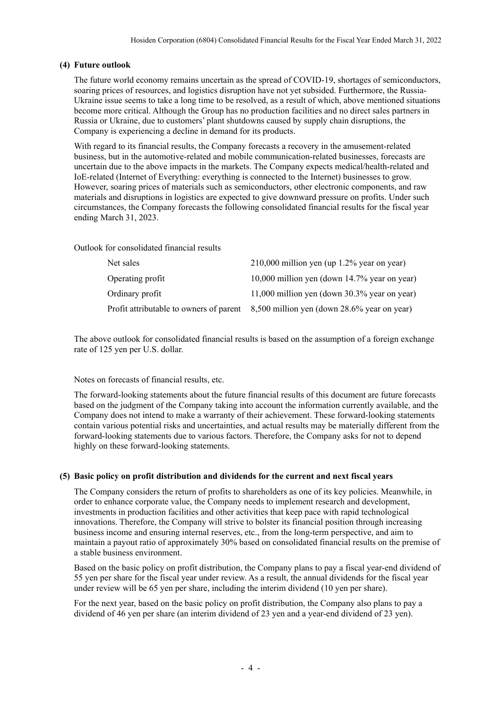### **(4) Future outlook**

The future world economy remains uncertain as the spread of COVID-19, shortages of semiconductors, soaring prices of resources, and logistics disruption have not yet subsided. Furthermore, the Russia-Ukraine issue seems to take a long time to be resolved, as a result of which, above mentioned situations become more critical. Although the Group has no production facilities and no direct sales partners in Russia or Ukraine, due to customers' plant shutdowns caused by supply chain disruptions, the Company is experiencing a decline in demand for its products.

With regard to its financial results, the Company forecasts a recovery in the amusement-related business, but in the automotive-related and mobile communication-related businesses, forecasts are uncertain due to the above impacts in the markets. The Company expects medical/health-related and IoE-related (Internet of Everything: everything is connected to the Internet) businesses to grow. However, soaring prices of materials such as semiconductors, other electronic components, and raw materials and disruptions in logistics are expected to give downward pressure on profits. Under such circumstances, the Company forecasts the following consolidated financial results for the fiscal year ending March 31, 2023.

Outlook for consolidated financial results

| Net sales                               | $210,000$ million yen (up 1.2% year on year)    |
|-----------------------------------------|-------------------------------------------------|
| Operating profit                        | 10,000 million yen (down 14.7% year on year)    |
| Ordinary profit                         | 11,000 million yen (down $30.3\%$ year on year) |
| Profit attributable to owners of parent | 8,500 million yen (down 28.6% year on year)     |

The above outlook for consolidated financial results is based on the assumption of a foreign exchange rate of 125 yen per U.S. dollar.

Notes on forecasts of financial results, etc.

The forward-looking statements about the future financial results of this document are future forecasts based on the judgment of the Company taking into account the information currently available, and the Company does not intend to make a warranty of their achievement. These forward-looking statements contain various potential risks and uncertainties, and actual results may be materially different from the forward-looking statements due to various factors. Therefore, the Company asks for not to depend highly on these forward-looking statements.

### **(5) Basic policy on profit distribution and dividends for the current and next fiscal years**

The Company considers the return of profits to shareholders as one of its key policies. Meanwhile, in order to enhance corporate value, the Company needs to implement research and development, investments in production facilities and other activities that keep pace with rapid technological innovations. Therefore, the Company will strive to bolster its financial position through increasing business income and ensuring internal reserves, etc., from the long-term perspective, and aim to maintain a payout ratio of approximately 30% based on consolidated financial results on the premise of a stable business environment.

Based on the basic policy on profit distribution, the Company plans to pay a fiscal year-end dividend of 55 yen per share for the fiscal year under review. As a result, the annual dividends for the fiscal year under review will be 65 yen per share, including the interim dividend (10 yen per share).

For the next year, based on the basic policy on profit distribution, the Company also plans to pay a dividend of 46 yen per share (an interim dividend of 23 yen and a year-end dividend of 23 yen).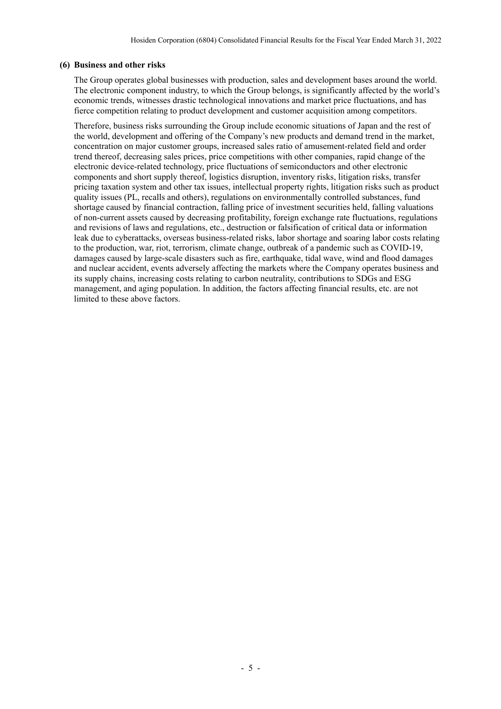### **(6) Business and other risks**

The Group operates global businesses with production, sales and development bases around the world. The electronic component industry, to which the Group belongs, is significantly affected by the world's economic trends, witnesses drastic technological innovations and market price fluctuations, and has fierce competition relating to product development and customer acquisition among competitors.

Therefore, business risks surrounding the Group include economic situations of Japan and the rest of the world, development and offering of the Company's new products and demand trend in the market, concentration on major customer groups, increased sales ratio of amusement-related field and order trend thereof, decreasing sales prices, price competitions with other companies, rapid change of the electronic device-related technology, price fluctuations of semiconductors and other electronic components and short supply thereof, logistics disruption, inventory risks, litigation risks, transfer pricing taxation system and other tax issues, intellectual property rights, litigation risks such as product quality issues (PL, recalls and others), regulations on environmentally controlled substances, fund shortage caused by financial contraction, falling price of investment securities held, falling valuations of non-current assets caused by decreasing profitability, foreign exchange rate fluctuations, regulations and revisions of laws and regulations, etc., destruction or falsification of critical data or information leak due to cyberattacks, overseas business-related risks, labor shortage and soaring labor costs relating to the production, war, riot, terrorism, climate change, outbreak of a pandemic such as COVID-19, damages caused by large-scale disasters such as fire, earthquake, tidal wave, wind and flood damages and nuclear accident, events adversely affecting the markets where the Company operates business and its supply chains, increasing costs relating to carbon neutrality, contributions to SDGs and ESG management, and aging population. In addition, the factors affecting financial results, etc. are not limited to these above factors.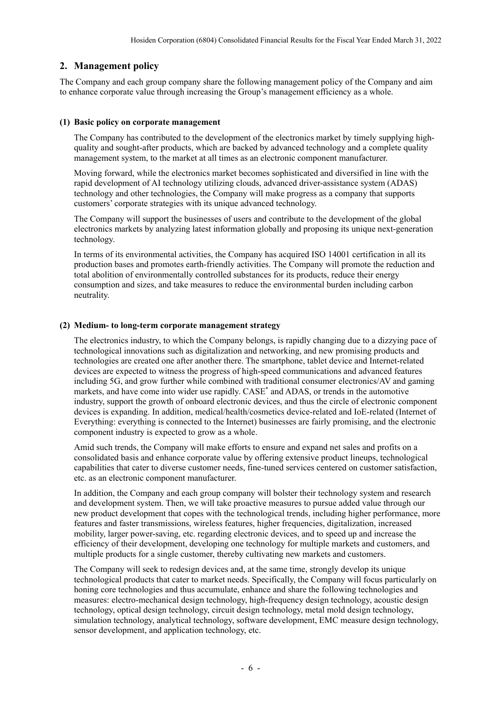### **2. Management policy**

The Company and each group company share the following management policy of the Company and aim to enhance corporate value through increasing the Group's management efficiency as a whole.

### **(1) Basic policy on corporate management**

The Company has contributed to the development of the electronics market by timely supplying highquality and sought-after products, which are backed by advanced technology and a complete quality management system, to the market at all times as an electronic component manufacturer.

Moving forward, while the electronics market becomes sophisticated and diversified in line with the rapid development of AI technology utilizing clouds, advanced driver-assistance system (ADAS) technology and other technologies, the Company will make progress as a company that supports customers' corporate strategies with its unique advanced technology.

The Company will support the businesses of users and contribute to the development of the global electronics markets by analyzing latest information globally and proposing its unique next-generation technology.

In terms of its environmental activities, the Company has acquired ISO 14001 certification in all its production bases and promotes earth-friendly activities. The Company will promote the reduction and total abolition of environmentally controlled substances for its products, reduce their energy consumption and sizes, and take measures to reduce the environmental burden including carbon neutrality.

### **(2) Medium- to long-term corporate management strategy**

The electronics industry, to which the Company belongs, is rapidly changing due to a dizzying pace of technological innovations such as digitalization and networking, and new promising products and technologies are created one after another there. The smartphone, tablet device and Internet-related devices are expected to witness the progress of high-speed communications and advanced features including 5G, and grow further while combined with traditional consumer electronics/AV and gaming markets, and have come into wider use rapidly. CASE\* and ADAS, or trends in the automotive industry, support the growth of onboard electronic devices, and thus the circle of electronic component devices is expanding. In addition, medical/health/cosmetics device-related and IoE-related (Internet of Everything: everything is connected to the Internet) businesses are fairly promising, and the electronic component industry is expected to grow as a whole.

Amid such trends, the Company will make efforts to ensure and expand net sales and profits on a consolidated basis and enhance corporate value by offering extensive product lineups, technological capabilities that cater to diverse customer needs, fine-tuned services centered on customer satisfaction, etc. as an electronic component manufacturer.

In addition, the Company and each group company will bolster their technology system and research and development system. Then, we will take proactive measures to pursue added value through our new product development that copes with the technological trends, including higher performance, more features and faster transmissions, wireless features, higher frequencies, digitalization, increased mobility, larger power-saving, etc. regarding electronic devices, and to speed up and increase the efficiency of their development, developing one technology for multiple markets and customers, and multiple products for a single customer, thereby cultivating new markets and customers.

The Company will seek to redesign devices and, at the same time, strongly develop its unique technological products that cater to market needs. Specifically, the Company will focus particularly on honing core technologies and thus accumulate, enhance and share the following technologies and measures: electro-mechanical design technology, high-frequency design technology, acoustic design technology, optical design technology, circuit design technology, metal mold design technology, simulation technology, analytical technology, software development, EMC measure design technology, sensor development, and application technology, etc.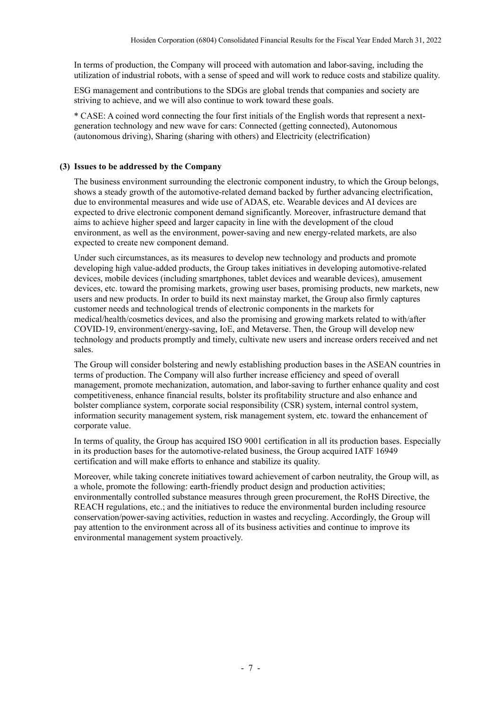In terms of production, the Company will proceed with automation and labor-saving, including the utilization of industrial robots, with a sense of speed and will work to reduce costs and stabilize quality.

ESG management and contributions to the SDGs are global trends that companies and society are striving to achieve, and we will also continue to work toward these goals.

\* CASE: A coined word connecting the four first initials of the English words that represent a nextgeneration technology and new wave for cars: Connected (getting connected), Autonomous (autonomous driving), Sharing (sharing with others) and Electricity (electrification)

### **(3) Issues to be addressed by the Company**

The business environment surrounding the electronic component industry, to which the Group belongs, shows a steady growth of the automotive-related demand backed by further advancing electrification, due to environmental measures and wide use of ADAS, etc. Wearable devices and AI devices are expected to drive electronic component demand significantly. Moreover, infrastructure demand that aims to achieve higher speed and larger capacity in line with the development of the cloud environment, as well as the environment, power-saving and new energy-related markets, are also expected to create new component demand.

Under such circumstances, as its measures to develop new technology and products and promote developing high value-added products, the Group takes initiatives in developing automotive-related devices, mobile devices (including smartphones, tablet devices and wearable devices), amusement devices, etc. toward the promising markets, growing user bases, promising products, new markets, new users and new products. In order to build its next mainstay market, the Group also firmly captures customer needs and technological trends of electronic components in the markets for medical/health/cosmetics devices, and also the promising and growing markets related to with/after COVID-19, environment/energy-saving, IoE, and Metaverse. Then, the Group will develop new technology and products promptly and timely, cultivate new users and increase orders received and net sales.

The Group will consider bolstering and newly establishing production bases in the ASEAN countries in terms of production. The Company will also further increase efficiency and speed of overall management, promote mechanization, automation, and labor-saving to further enhance quality and cost competitiveness, enhance financial results, bolster its profitability structure and also enhance and bolster compliance system, corporate social responsibility (CSR) system, internal control system, information security management system, risk management system, etc. toward the enhancement of corporate value.

In terms of quality, the Group has acquired ISO 9001 certification in all its production bases. Especially in its production bases for the automotive-related business, the Group acquired IATF 16949 certification and will make efforts to enhance and stabilize its quality.

Moreover, while taking concrete initiatives toward achievement of carbon neutrality, the Group will, as a whole, promote the following: earth-friendly product design and production activities; environmentally controlled substance measures through green procurement, the RoHS Directive, the REACH regulations, etc.; and the initiatives to reduce the environmental burden including resource conservation/power-saving activities, reduction in wastes and recycling. Accordingly, the Group will pay attention to the environment across all of its business activities and continue to improve its environmental management system proactively.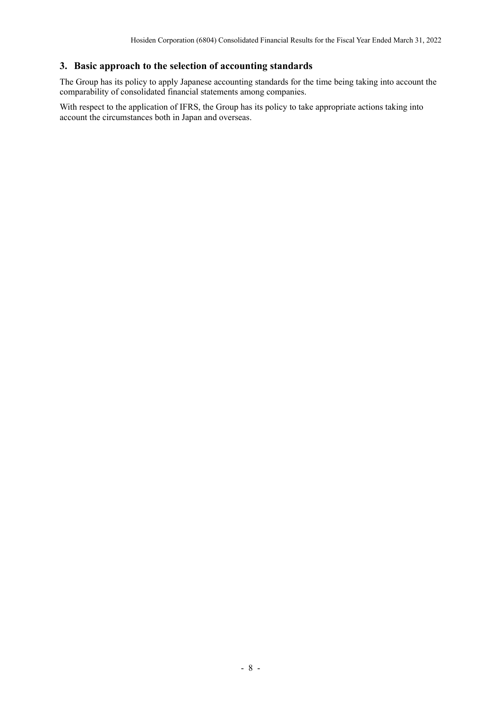### **3. Basic approach to the selection of accounting standards**

The Group has its policy to apply Japanese accounting standards for the time being taking into account the comparability of consolidated financial statements among companies.

With respect to the application of IFRS, the Group has its policy to take appropriate actions taking into account the circumstances both in Japan and overseas.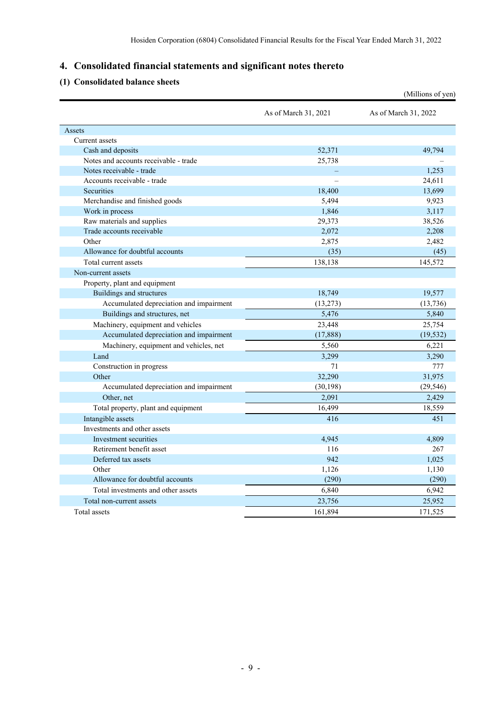# **4. Consolidated financial statements and significant notes thereto**

### **(1) Consolidated balance sheets**

|                                         |                      | (Millions of yen)    |
|-----------------------------------------|----------------------|----------------------|
|                                         | As of March 31, 2021 | As of March 31, 2022 |
| Assets                                  |                      |                      |
| Current assets                          |                      |                      |
| Cash and deposits                       | 52,371               | 49,794               |
| Notes and accounts receivable - trade   | 25,738               |                      |
| Notes receivable - trade                |                      | 1,253                |
| Accounts receivable - trade             |                      | 24,611               |
| Securities                              | 18,400               | 13,699               |
| Merchandise and finished goods          | 5,494                | 9,923                |
| Work in process                         | 1,846                | 3,117                |
| Raw materials and supplies              | 29,373               | 38,526               |
| Trade accounts receivable               | 2,072                | 2,208                |
| Other                                   | 2,875                | 2,482                |
| Allowance for doubtful accounts         | (35)                 | (45)                 |
| Total current assets                    | 138,138              | 145,572              |
| Non-current assets                      |                      |                      |
| Property, plant and equipment           |                      |                      |
| Buildings and structures                | 18,749               | 19,577               |
| Accumulated depreciation and impairment | (13,273)             | (13,736)             |
| Buildings and structures, net           | 5,476                | 5,840                |
| Machinery, equipment and vehicles       | 23,448               | 25,754               |
| Accumulated depreciation and impairment | (17, 888)            | (19, 532)            |
| Machinery, equipment and vehicles, net  | 5,560                | 6,221                |
| Land                                    | 3,299                | 3,290                |
| Construction in progress                | 71                   | 777                  |
| Other                                   | 32,290               | 31,975               |
| Accumulated depreciation and impairment | (30, 198)            | (29, 546)            |
| Other, net                              | 2,091                | 2,429                |
| Total property, plant and equipment     | 16,499               | 18,559               |
| Intangible assets                       | 416                  | 451                  |
| Investments and other assets            |                      |                      |
| Investment securities                   | 4,945                | 4,809                |
| Retirement benefit asset                | 116                  | 267                  |
| Deferred tax assets                     | 942                  | 1,025                |
| Other                                   | 1,126                | 1,130                |
| Allowance for doubtful accounts         | (290)                | (290)                |
| Total investments and other assets      | 6,840                | 6,942                |
| Total non-current assets                | 23,756               | 25,952               |
| Total assets                            | 161,894              | 171,525              |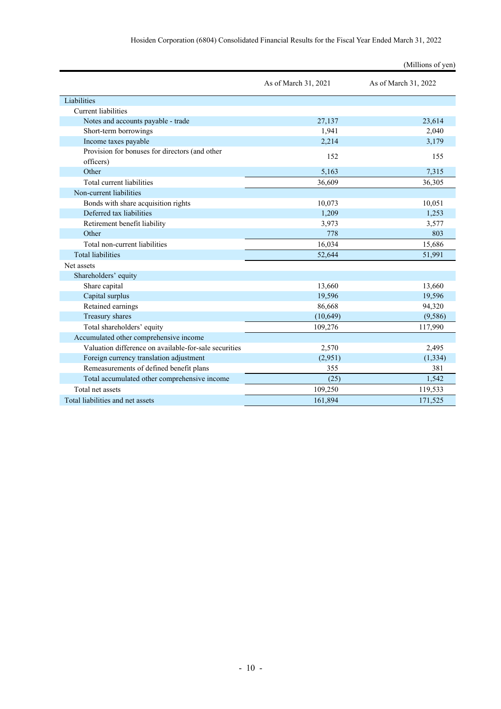|                                                             |                      | (Millions of yen)    |
|-------------------------------------------------------------|----------------------|----------------------|
|                                                             | As of March 31, 2021 | As of March 31, 2022 |
| Liabilities                                                 |                      |                      |
| Current liabilities                                         |                      |                      |
| Notes and accounts payable - trade                          | 27,137               | 23,614               |
| Short-term borrowings                                       | 1,941                | 2,040                |
| Income taxes payable                                        | 2,214                | 3,179                |
| Provision for bonuses for directors (and other<br>officers) | 152                  | 155                  |
| Other                                                       | 5,163                | 7,315                |
| Total current liabilities                                   | 36,609               | 36,305               |
| Non-current liabilities                                     |                      |                      |
| Bonds with share acquisition rights                         | 10,073               | 10,051               |
| Deferred tax liabilities                                    | 1,209                | 1,253                |
| Retirement benefit liability                                | 3,973                | 3,577                |
| Other                                                       | 778                  | 803                  |
| Total non-current liabilities                               | 16,034               | 15,686               |
| <b>Total liabilities</b>                                    | 52,644               | 51,991               |
| Net assets                                                  |                      |                      |
| Shareholders' equity                                        |                      |                      |
| Share capital                                               | 13,660               | 13,660               |
| Capital surplus                                             | 19,596               | 19,596               |
| Retained earnings                                           | 86,668               | 94,320               |
| Treasury shares                                             | (10, 649)            | (9,586)              |
| Total shareholders' equity                                  | 109,276              | 117,990              |
| Accumulated other comprehensive income                      |                      |                      |
| Valuation difference on available-for-sale securities       | 2,570                | 2,495                |
| Foreign currency translation adjustment                     | (2,951)              | (1, 334)             |
| Remeasurements of defined benefit plans                     | 355                  | 381                  |
| Total accumulated other comprehensive income                | (25)                 | 1,542                |
| Total net assets                                            | 109,250              | 119,533              |
| Total liabilities and net assets                            | 161,894              | 171,525              |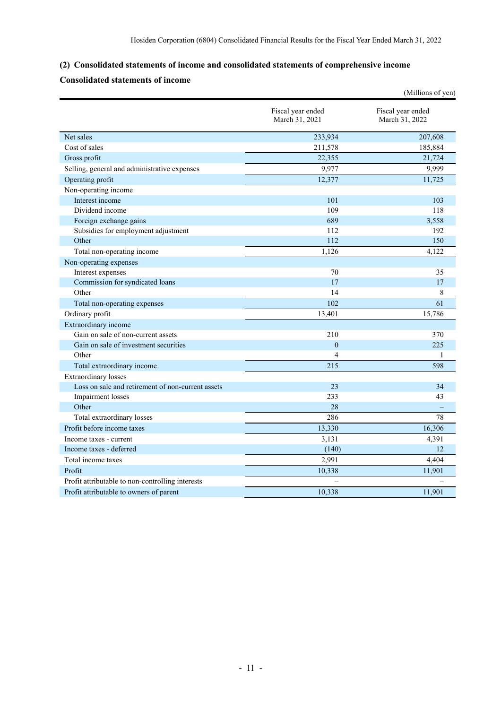## **(2) Consolidated statements of income and consolidated statements of comprehensive income**

# **Consolidated statements of income**

|                                                   |                                     | (Millions of yen)                   |
|---------------------------------------------------|-------------------------------------|-------------------------------------|
|                                                   | Fiscal year ended<br>March 31, 2021 | Fiscal year ended<br>March 31, 2022 |
| Net sales                                         | 233,934                             | 207,608                             |
| Cost of sales                                     | 211,578                             | 185,884                             |
| Gross profit                                      | 22,355                              | 21,724                              |
| Selling, general and administrative expenses      | 9,977                               | 9,999                               |
| Operating profit                                  | 12,377                              | 11,725                              |
| Non-operating income                              |                                     |                                     |
| Interest income                                   | 101                                 | 103                                 |
| Dividend income                                   | 109                                 | 118                                 |
| Foreign exchange gains                            | 689                                 | 3,558                               |
| Subsidies for employment adjustment               | 112                                 | 192                                 |
| Other                                             | 112                                 | 150                                 |
| Total non-operating income                        | 1,126                               | 4,122                               |
| Non-operating expenses                            |                                     |                                     |
| Interest expenses                                 | 70                                  | 35                                  |
| Commission for syndicated loans                   | 17                                  | 17                                  |
| Other                                             | 14                                  | 8                                   |
| Total non-operating expenses                      | 102                                 | 61                                  |
| Ordinary profit                                   | 13,401                              | 15,786                              |
| Extraordinary income                              |                                     |                                     |
| Gain on sale of non-current assets                | 210                                 | 370                                 |
| Gain on sale of investment securities             | $\mathbf{0}$                        | 225                                 |
| Other                                             | 4                                   | 1                                   |
| Total extraordinary income                        | 215                                 | 598                                 |
| <b>Extraordinary losses</b>                       |                                     |                                     |
| Loss on sale and retirement of non-current assets | 23                                  | 34                                  |
| Impairment losses                                 | 233                                 | 43                                  |
| Other                                             | 28                                  |                                     |
| Total extraordinary losses                        | 286                                 | 78                                  |
| Profit before income taxes                        | 13,330                              | 16,306                              |
| Income taxes - current                            | 3,131                               | 4,391                               |
| Income taxes - deferred                           | (140)                               | 12                                  |
| Total income taxes                                | 2,991                               | 4,404                               |
| Profit                                            | 10,338                              | 11,901                              |
| Profit attributable to non-controlling interests  |                                     |                                     |
| Profit attributable to owners of parent           | 10,338                              | 11,901                              |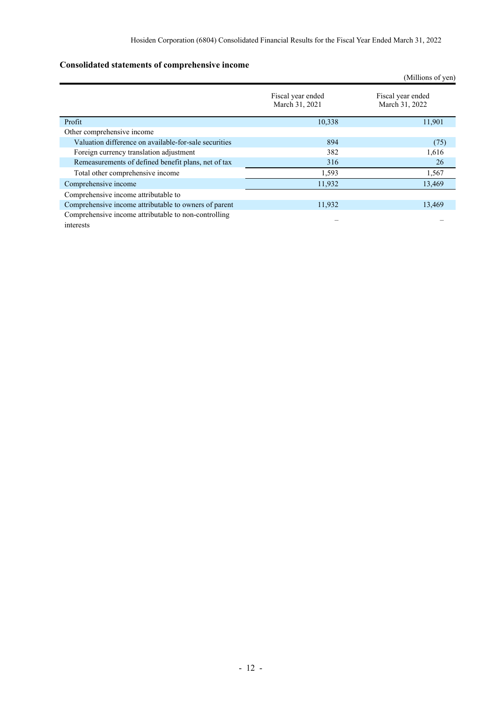# **Consolidated statements of comprehensive income**

|                                                                   |                                     | (Millions of yen)                   |
|-------------------------------------------------------------------|-------------------------------------|-------------------------------------|
|                                                                   | Fiscal year ended<br>March 31, 2021 | Fiscal year ended<br>March 31, 2022 |
| Profit                                                            | 10,338                              | 11,901                              |
| Other comprehensive income                                        |                                     |                                     |
| Valuation difference on available-for-sale securities             | 894                                 | (75)                                |
| Foreign currency translation adjustment                           | 382                                 | 1,616                               |
| Remeasurements of defined benefit plans, net of tax               | 316                                 | 26                                  |
| Total other comprehensive income                                  | 1,593                               | 1,567                               |
| Comprehensive income                                              | 11,932                              | 13,469                              |
| Comprehensive income attributable to                              |                                     |                                     |
| Comprehensive income attributable to owners of parent             | 11,932                              | 13,469                              |
| Comprehensive income attributable to non-controlling<br>interests |                                     |                                     |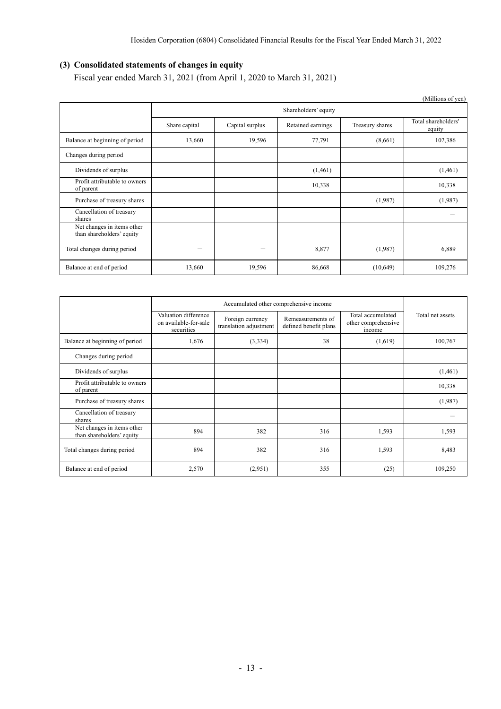# **(3) Consolidated statements of changes in equity**

Fiscal year ended March 31, 2021 (from April 1, 2020 to March 31, 2021)

|                                                         |               |                 |                      |                 | (Millions of yen)             |
|---------------------------------------------------------|---------------|-----------------|----------------------|-----------------|-------------------------------|
|                                                         |               |                 | Shareholders' equity |                 |                               |
|                                                         | Share capital | Capital surplus | Retained earnings    | Treasury shares | Total shareholders'<br>equity |
| Balance at beginning of period                          | 13,660        | 19,596          | 77,791               | (8,661)         | 102,386                       |
| Changes during period                                   |               |                 |                      |                 |                               |
| Dividends of surplus                                    |               |                 | (1,461)              |                 | (1,461)                       |
| Profit attributable to owners<br>of parent              |               |                 | 10,338               |                 | 10,338                        |
| Purchase of treasury shares                             |               |                 |                      | (1,987)         | (1,987)                       |
| Cancellation of treasury<br>shares                      |               |                 |                      |                 |                               |
| Net changes in items other<br>than shareholders' equity |               |                 |                      |                 |                               |
| Total changes during period                             | -             |                 | 8,877                | (1,987)         | 6,889                         |
| Balance at end of period                                | 13,660        | 19,596          | 86,668               | (10,649)        | 109,276                       |

|                                                         | Valuation difference<br>on available-for-sale<br>securities | Foreign currency<br>translation adjustment | Remeasurements of<br>defined benefit plans | Total accumulated<br>other comprehensive<br>income | Total net assets |
|---------------------------------------------------------|-------------------------------------------------------------|--------------------------------------------|--------------------------------------------|----------------------------------------------------|------------------|
| Balance at beginning of period                          | 1,676                                                       | (3,334)                                    | 38                                         | (1,619)                                            | 100,767          |
| Changes during period                                   |                                                             |                                            |                                            |                                                    |                  |
| Dividends of surplus                                    |                                                             |                                            |                                            |                                                    | (1,461)          |
| Profit attributable to owners<br>of parent              |                                                             |                                            |                                            |                                                    | 10,338           |
| Purchase of treasury shares                             |                                                             |                                            |                                            |                                                    | (1,987)          |
| Cancellation of treasury<br>shares                      |                                                             |                                            |                                            |                                                    |                  |
| Net changes in items other<br>than shareholders' equity | 894                                                         | 382                                        | 316                                        | 1,593                                              | 1,593            |
| Total changes during period                             | 894                                                         | 382                                        | 316                                        | 1,593                                              | 8,483            |
| Balance at end of period                                | 2,570                                                       | (2,951)                                    | 355                                        | (25)                                               | 109,250          |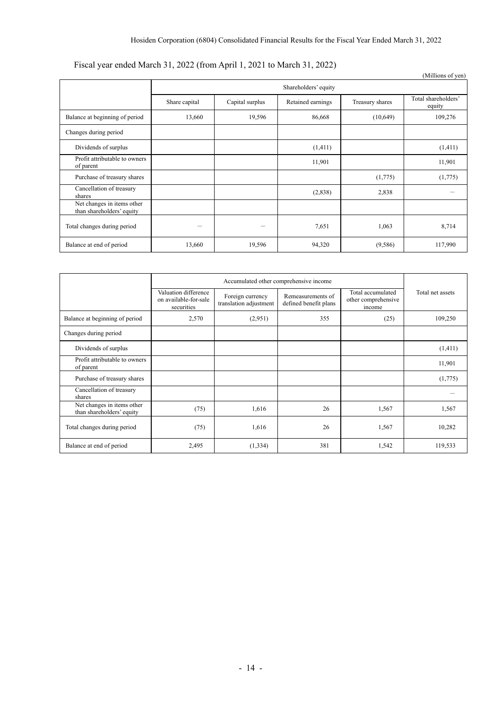# Fiscal year ended March 31, 2022 (from April 1, 2021 to March 31, 2022)

|                                                         |               |                 |                      |                 | (Millions of yen)             |
|---------------------------------------------------------|---------------|-----------------|----------------------|-----------------|-------------------------------|
|                                                         |               |                 | Shareholders' equity |                 |                               |
|                                                         | Share capital | Capital surplus | Retained earnings    | Treasury shares | Total shareholders'<br>equity |
| Balance at beginning of period                          | 13,660        | 19,596          | 86,668               | (10,649)        | 109,276                       |
| Changes during period                                   |               |                 |                      |                 |                               |
| Dividends of surplus                                    |               |                 | (1,411)              |                 | (1,411)                       |
| Profit attributable to owners<br>of parent              |               |                 | 11,901               |                 | 11,901                        |
| Purchase of treasury shares                             |               |                 |                      | (1,775)         | (1,775)                       |
| Cancellation of treasury<br>shares                      |               |                 | (2,838)              | 2,838           |                               |
| Net changes in items other<br>than shareholders' equity |               |                 |                      |                 |                               |
| Total changes during period                             | -             | -               | 7,651                | 1,063           | 8,714                         |
| Balance at end of period                                | 13,660        | 19,596          | 94,320               | (9,586)         | 117,990                       |

|                                                         | Accumulated other comprehensive income                      |                                            |                                            |                                                    |                  |
|---------------------------------------------------------|-------------------------------------------------------------|--------------------------------------------|--------------------------------------------|----------------------------------------------------|------------------|
|                                                         | Valuation difference<br>on available-for-sale<br>securities | Foreign currency<br>translation adjustment | Remeasurements of<br>defined benefit plans | Total accumulated<br>other comprehensive<br>income | Total net assets |
| Balance at beginning of period                          | 2,570                                                       | (2,951)                                    | 355                                        | (25)                                               | 109,250          |
| Changes during period                                   |                                                             |                                            |                                            |                                                    |                  |
| Dividends of surplus                                    |                                                             |                                            |                                            |                                                    | (1,411)          |
| Profit attributable to owners<br>of parent              |                                                             |                                            |                                            |                                                    | 11,901           |
| Purchase of treasury shares                             |                                                             |                                            |                                            |                                                    | (1,775)          |
| Cancellation of treasury<br>shares                      |                                                             |                                            |                                            |                                                    |                  |
| Net changes in items other<br>than shareholders' equity | (75)                                                        | 1,616                                      | 26                                         | 1,567                                              | 1,567            |
| Total changes during period                             | (75)                                                        | 1,616                                      | 26                                         | 1,567                                              | 10,282           |
| Balance at end of period                                | 2,495                                                       | (1, 334)                                   | 381                                        | 1,542                                              | 119,533          |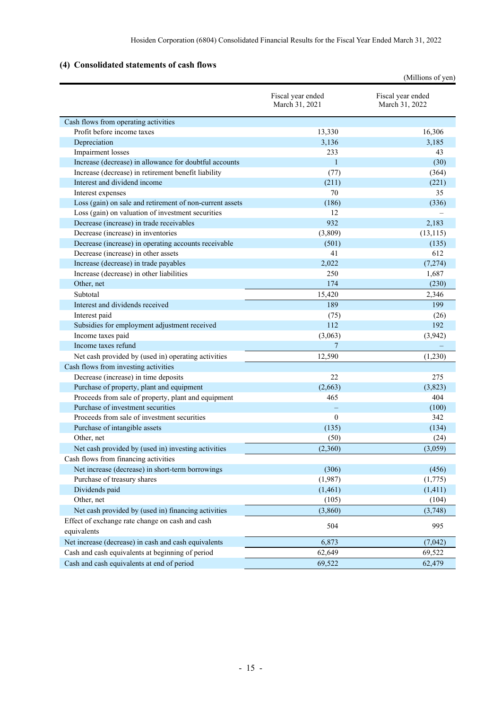# **(4) Consolidated statements of cash flows**

|                                                          |                                     | (Millions of yen)                   |
|----------------------------------------------------------|-------------------------------------|-------------------------------------|
|                                                          | Fiscal year ended<br>March 31, 2021 | Fiscal year ended<br>March 31, 2022 |
| Cash flows from operating activities                     |                                     |                                     |
| Profit before income taxes                               | 13,330                              | 16,306                              |
| Depreciation                                             | 3,136                               | 3,185                               |
| Impairment losses                                        | 233                                 | 43                                  |
| Increase (decrease) in allowance for doubtful accounts   | $\mathbf{1}$                        | (30)                                |
| Increase (decrease) in retirement benefit liability      | (77)                                | (364)                               |
| Interest and dividend income                             | (211)                               | (221)                               |
| Interest expenses                                        | 70                                  | 35                                  |
| Loss (gain) on sale and retirement of non-current assets | (186)                               | (336)                               |
| Loss (gain) on valuation of investment securities        | 12                                  |                                     |
| Decrease (increase) in trade receivables                 | 932                                 | 2,183                               |
| Decrease (increase) in inventories                       | (3,809)                             | (13, 115)                           |
| Decrease (increase) in operating accounts receivable     | (501)                               | (135)                               |
| Decrease (increase) in other assets                      | 41                                  | 612                                 |
| Increase (decrease) in trade payables                    | 2,022                               | (7,274)                             |
| Increase (decrease) in other liabilities                 | 250                                 | 1,687                               |
| Other, net                                               | 174                                 | (230)                               |
| Subtotal                                                 | 15,420                              | 2,346                               |
| Interest and dividends received                          | 189                                 | 199                                 |
| Interest paid                                            | (75)                                | (26)                                |
| Subsidies for employment adjustment received             | 112                                 | 192                                 |
| Income taxes paid                                        | (3,063)                             | (3,942)                             |
| Income taxes refund                                      | 7                                   |                                     |
| Net cash provided by (used in) operating activities      | 12,590                              | (1,230)                             |
| Cash flows from investing activities                     |                                     |                                     |
| Decrease (increase) in time deposits                     | 22                                  | 275                                 |
| Purchase of property, plant and equipment                | (2,663)                             | (3,823)                             |
| Proceeds from sale of property, plant and equipment      | 465                                 | 404                                 |
| Purchase of investment securities                        |                                     | (100)                               |
| Proceeds from sale of investment securities              | $\mathbf{0}$                        | 342                                 |
| Purchase of intangible assets                            | (135)                               | (134)                               |
| Other, net                                               | (50)                                | (24)                                |
| Net cash provided by (used in) investing activities      | (2,360)                             | (3,059)                             |
| Cash flows from financing activities                     |                                     |                                     |
| Net increase (decrease) in short-term borrowings         | (306)                               | (456)                               |
| Purchase of treasury shares                              | (1,987)                             | (1,775)                             |
| Dividends paid                                           | (1,461)                             | (1, 411)                            |
| Other, net                                               | (105)                               | (104)                               |
| Net cash provided by (used in) financing activities      | (3,860)                             | (3,748)                             |
| Effect of exchange rate change on cash and cash          |                                     |                                     |
| equivalents                                              | 504                                 | 995                                 |
| Net increase (decrease) in cash and cash equivalents     | 6,873                               | (7,042)                             |
| Cash and cash equivalents at beginning of period         | 62,649                              | 69,522                              |
| Cash and cash equivalents at end of period               | 69,522                              | 62,479                              |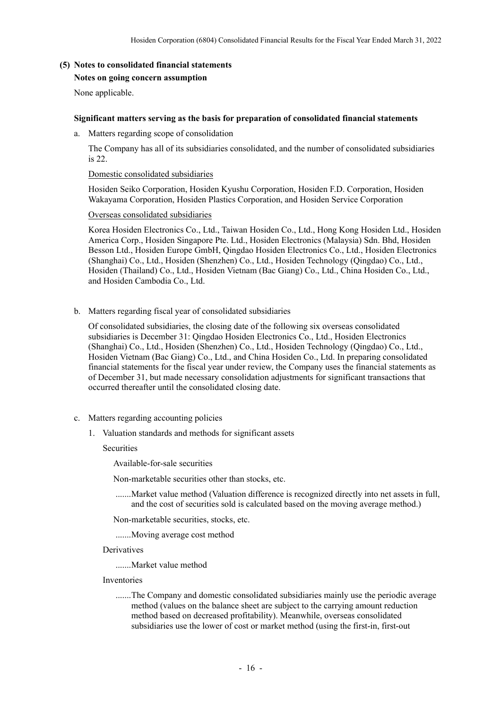### **(5) Notes to consolidated financial statements Notes on going concern assumption**

None applicable.

#### **Significant matters serving as the basis for preparation of consolidated financial statements**

a. Matters regarding scope of consolidation

The Company has all of its subsidiaries consolidated, and the number of consolidated subsidiaries is 22.

Domestic consolidated subsidiaries

Hosiden Seiko Corporation, Hosiden Kyushu Corporation, Hosiden F.D. Corporation, Hosiden Wakayama Corporation, Hosiden Plastics Corporation, and Hosiden Service Corporation

Overseas consolidated subsidiaries

Korea Hosiden Electronics Co., Ltd., Taiwan Hosiden Co., Ltd., Hong Kong Hosiden Ltd., Hosiden America Corp., Hosiden Singapore Pte. Ltd., Hosiden Electronics (Malaysia) Sdn. Bhd, Hosiden Besson Ltd., Hosiden Europe GmbH, Qingdao Hosiden Electronics Co., Ltd., Hosiden Electronics (Shanghai) Co., Ltd., Hosiden (Shenzhen) Co., Ltd., Hosiden Technology (Qingdao) Co., Ltd., Hosiden (Thailand) Co., Ltd., Hosiden Vietnam (Bac Giang) Co., Ltd., China Hosiden Co., Ltd., and Hosiden Cambodia Co., Ltd.

b. Matters regarding fiscal year of consolidated subsidiaries

Of consolidated subsidiaries, the closing date of the following six overseas consolidated subsidiaries is December 31: Qingdao Hosiden Electronics Co., Ltd., Hosiden Electronics (Shanghai) Co., Ltd., Hosiden (Shenzhen) Co., Ltd., Hosiden Technology (Qingdao) Co., Ltd., Hosiden Vietnam (Bac Giang) Co., Ltd., and China Hosiden Co., Ltd. In preparing consolidated financial statements for the fiscal year under review, the Company uses the financial statements as of December 31, but made necessary consolidation adjustments for significant transactions that occurred thereafter until the consolidated closing date.

- c. Matters regarding accounting policies
	- 1. Valuation standards and methods for significant assets

**Securities** 

Available-for-sale securities

Non-marketable securities other than stocks, etc.

 ....... Market value method (Valuation difference is recognized directly into net assets in full, and the cost of securities sold is calculated based on the moving average method.)

Non-marketable securities, stocks, etc.

....... Moving average cost method

Derivatives

....... Market value method

- Inventories
	- ....... The Company and domestic consolidated subsidiaries mainly use the periodic average method (values on the balance sheet are subject to the carrying amount reduction method based on decreased profitability). Meanwhile, overseas consolidated subsidiaries use the lower of cost or market method (using the first-in, first-out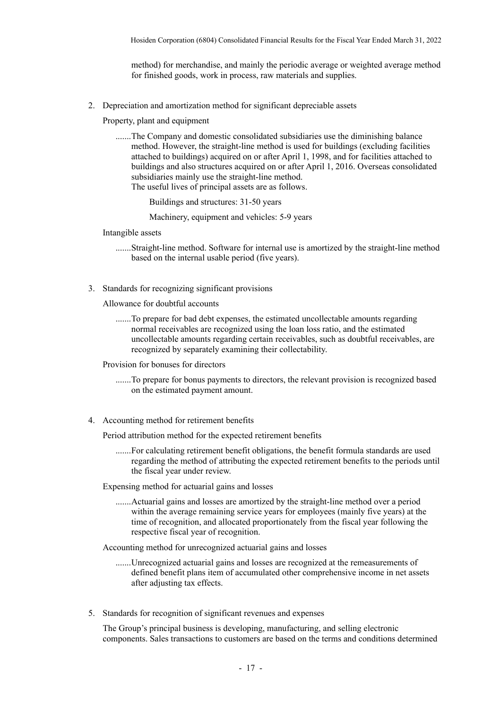method) for merchandise, and mainly the periodic average or weighted average method for finished goods, work in process, raw materials and supplies.

2. Depreciation and amortization method for significant depreciable assets

Property, plant and equipment

 ....... The Company and domestic consolidated subsidiaries use the diminishing balance method. However, the straight-line method is used for buildings (excluding facilities attached to buildings) acquired on or after April 1, 1998, and for facilities attached to buildings and also structures acquired on or after April 1, 2016. Overseas consolidated subsidiaries mainly use the straight-line method. The useful lives of principal assets are as follows.

Buildings and structures: 31-50 years

Machinery, equipment and vehicles: 5-9 years

Intangible assets

 ....... Straight-line method. Software for internal use is amortized by the straight-line method based on the internal usable period (five years).

3. Standards for recognizing significant provisions

Allowance for doubtful accounts

 ....... To prepare for bad debt expenses, the estimated uncollectable amounts regarding normal receivables are recognized using the loan loss ratio, and the estimated uncollectable amounts regarding certain receivables, such as doubtful receivables, are recognized by separately examining their collectability.

Provision for bonuses for directors

- ....... To prepare for bonus payments to directors, the relevant provision is recognized based on the estimated payment amount.
- 4. Accounting method for retirement benefits

Period attribution method for the expected retirement benefits

 ....... For calculating retirement benefit obligations, the benefit formula standards are used regarding the method of attributing the expected retirement benefits to the periods until the fiscal year under review.

Expensing method for actuarial gains and losses

 ....... Actuarial gains and losses are amortized by the straight-line method over a period within the average remaining service years for employees (mainly five years) at the time of recognition, and allocated proportionately from the fiscal year following the respective fiscal year of recognition.

Accounting method for unrecognized actuarial gains and losses

- ....... Unrecognized actuarial gains and losses are recognized at the remeasurements of defined benefit plans item of accumulated other comprehensive income in net assets after adjusting tax effects.
- 5. Standards for recognition of significant revenues and expenses

The Group's principal business is developing, manufacturing, and selling electronic components. Sales transactions to customers are based on the terms and conditions determined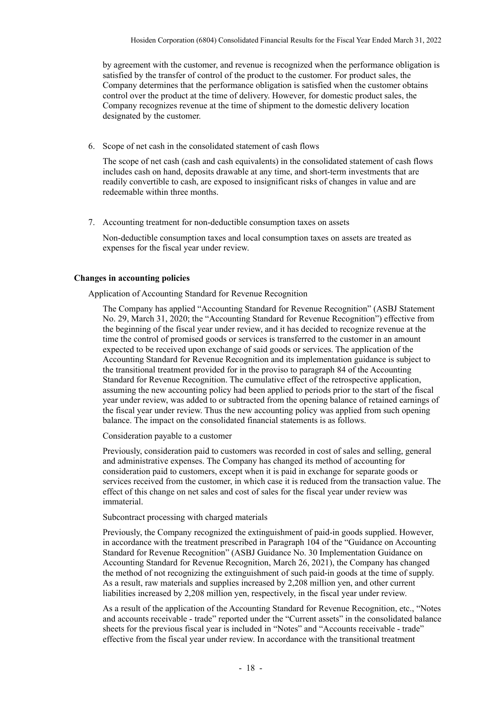by agreement with the customer, and revenue is recognized when the performance obligation is satisfied by the transfer of control of the product to the customer. For product sales, the Company determines that the performance obligation is satisfied when the customer obtains control over the product at the time of delivery. However, for domestic product sales, the Company recognizes revenue at the time of shipment to the domestic delivery location designated by the customer.

6. Scope of net cash in the consolidated statement of cash flows

The scope of net cash (cash and cash equivalents) in the consolidated statement of cash flows includes cash on hand, deposits drawable at any time, and short-term investments that are readily convertible to cash, are exposed to insignificant risks of changes in value and are redeemable within three months.

7. Accounting treatment for non-deductible consumption taxes on assets

Non-deductible consumption taxes and local consumption taxes on assets are treated as expenses for the fiscal year under review.

### **Changes in accounting policies**

Application of Accounting Standard for Revenue Recognition

The Company has applied "Accounting Standard for Revenue Recognition" (ASBJ Statement No. 29, March 31, 2020; the "Accounting Standard for Revenue Recognition") effective from the beginning of the fiscal year under review, and it has decided to recognize revenue at the time the control of promised goods or services is transferred to the customer in an amount expected to be received upon exchange of said goods or services. The application of the Accounting Standard for Revenue Recognition and its implementation guidance is subject to the transitional treatment provided for in the proviso to paragraph 84 of the Accounting Standard for Revenue Recognition. The cumulative effect of the retrospective application, assuming the new accounting policy had been applied to periods prior to the start of the fiscal year under review, was added to or subtracted from the opening balance of retained earnings of the fiscal year under review. Thus the new accounting policy was applied from such opening balance. The impact on the consolidated financial statements is as follows.

Consideration payable to a customer

Previously, consideration paid to customers was recorded in cost of sales and selling, general and administrative expenses. The Company has changed its method of accounting for consideration paid to customers, except when it is paid in exchange for separate goods or services received from the customer, in which case it is reduced from the transaction value. The effect of this change on net sales and cost of sales for the fiscal year under review was immaterial.

Subcontract processing with charged materials

Previously, the Company recognized the extinguishment of paid-in goods supplied. However, in accordance with the treatment prescribed in Paragraph 104 of the "Guidance on Accounting Standard for Revenue Recognition" (ASBJ Guidance No. 30 Implementation Guidance on Accounting Standard for Revenue Recognition, March 26, 2021), the Company has changed the method of not recognizing the extinguishment of such paid-in goods at the time of supply. As a result, raw materials and supplies increased by 2,208 million yen, and other current liabilities increased by 2,208 million yen, respectively, in the fiscal year under review.

As a result of the application of the Accounting Standard for Revenue Recognition, etc., "Notes and accounts receivable - trade" reported under the "Current assets" in the consolidated balance sheets for the previous fiscal year is included in "Notes" and "Accounts receivable - trade" effective from the fiscal year under review. In accordance with the transitional treatment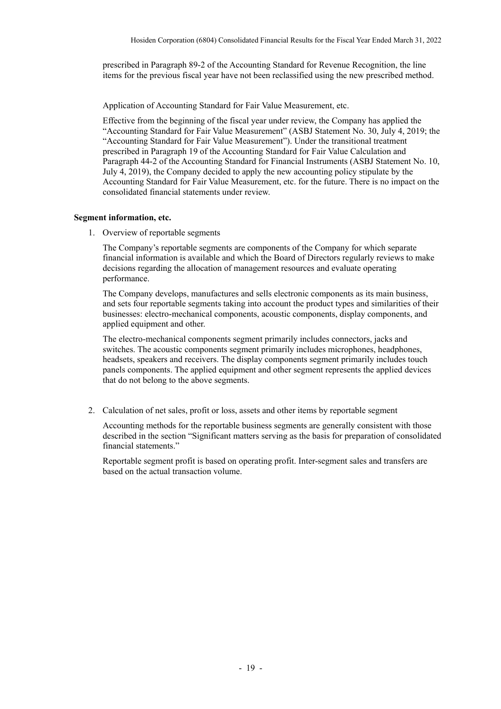prescribed in Paragraph 89-2 of the Accounting Standard for Revenue Recognition, the line items for the previous fiscal year have not been reclassified using the new prescribed method.

Application of Accounting Standard for Fair Value Measurement, etc.

Effective from the beginning of the fiscal year under review, the Company has applied the "Accounting Standard for Fair Value Measurement" (ASBJ Statement No. 30, July 4, 2019; the "Accounting Standard for Fair Value Measurement"). Under the transitional treatment prescribed in Paragraph 19 of the Accounting Standard for Fair Value Calculation and Paragraph 44-2 of the Accounting Standard for Financial Instruments (ASBJ Statement No. 10, July 4, 2019), the Company decided to apply the new accounting policy stipulate by the Accounting Standard for Fair Value Measurement, etc. for the future. There is no impact on the consolidated financial statements under review.

#### **Segment information, etc.**

1. Overview of reportable segments

The Company's reportable segments are components of the Company for which separate financial information is available and which the Board of Directors regularly reviews to make decisions regarding the allocation of management resources and evaluate operating performance.

The Company develops, manufactures and sells electronic components as its main business, and sets four reportable segments taking into account the product types and similarities of their businesses: electro-mechanical components, acoustic components, display components, and applied equipment and other.

The electro-mechanical components segment primarily includes connectors, jacks and switches. The acoustic components segment primarily includes microphones, headphones, headsets, speakers and receivers. The display components segment primarily includes touch panels components. The applied equipment and other segment represents the applied devices that do not belong to the above segments.

2. Calculation of net sales, profit or loss, assets and other items by reportable segment

Accounting methods for the reportable business segments are generally consistent with those described in the section "Significant matters serving as the basis for preparation of consolidated financial statements."

Reportable segment profit is based on operating profit. Inter-segment sales and transfers are based on the actual transaction volume.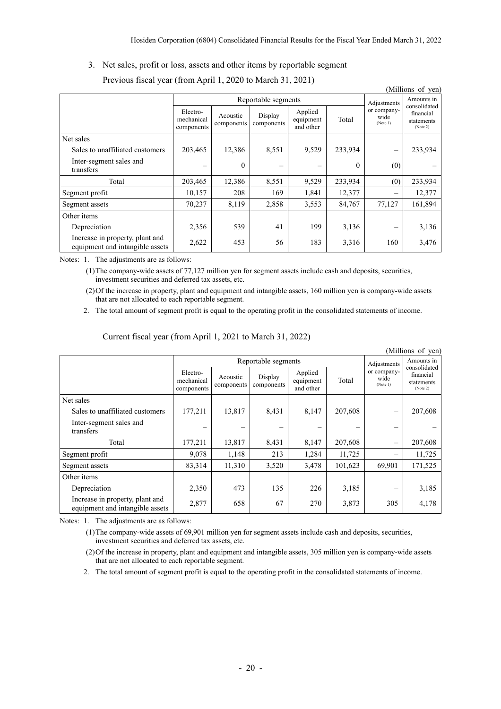### 3. Net sales, profit or loss, assets and other items by reportable segment

|                                                                    |                                      |                        |                       |                                   |             |                                 | (Millions of yen)                                   |
|--------------------------------------------------------------------|--------------------------------------|------------------------|-----------------------|-----------------------------------|-------------|---------------------------------|-----------------------------------------------------|
|                                                                    | Reportable segments                  |                        |                       |                                   | Adjustments | Amounts in                      |                                                     |
|                                                                    | Electro-<br>mechanical<br>components | Acoustic<br>components | Display<br>components | Applied<br>equipment<br>and other | Total       | or company-<br>wide<br>(Note 1) | consolidated<br>financial<br>statements<br>(Note 2) |
| Net sales                                                          |                                      |                        |                       |                                   |             |                                 |                                                     |
| Sales to unaffiliated customers                                    | 203,465                              | 12,386                 | 8,551                 | 9,529                             | 233,934     |                                 | 233,934                                             |
| Inter-segment sales and<br>transfers                               |                                      | $\theta$               |                       |                                   | $\theta$    | (0)                             |                                                     |
| Total                                                              | 203,465                              | 12,386                 | 8,551                 | 9,529                             | 233,934     | (0)                             | 233,934                                             |
| Segment profit                                                     | 10,157                               | 208                    | 169                   | 1,841                             | 12,377      | $\overline{\phantom{0}}$        | 12,377                                              |
| Segment assets                                                     | 70,237                               | 8,119                  | 2,858                 | 3,553                             | 84,767      | 77,127                          | 161,894                                             |
| Other items                                                        |                                      |                        |                       |                                   |             |                                 |                                                     |
| Depreciation                                                       | 2,356                                | 539                    | 41                    | 199                               | 3,136       |                                 | 3,136                                               |
| Increase in property, plant and<br>equipment and intangible assets | 2,622                                | 453                    | 56                    | 183                               | 3,316       | 160                             | 3,476                                               |

Previous fiscal year (from April 1, 2020 to March 31, 2021)

Notes: 1. The adjustments are as follows:

(1)The company-wide assets of 77,127 million yen for segment assets include cash and deposits, securities, investment securities and deferred tax assets, etc.

(2)Of the increase in property, plant and equipment and intangible assets, 160 million yen is company-wide assets that are not allocated to each reportable segment.

 $(M)$ llions of  $(20)$ 

2. The total amount of segment profit is equal to the operating profit in the consolidated statements of income.

| (TVITHIOHS OF YELL                                                 |                                      |                        |                       |                                   |             |                                 |                                                     |
|--------------------------------------------------------------------|--------------------------------------|------------------------|-----------------------|-----------------------------------|-------------|---------------------------------|-----------------------------------------------------|
|                                                                    | Reportable segments                  |                        |                       |                                   | Adjustments | Amounts in                      |                                                     |
|                                                                    | Electro-<br>mechanical<br>components | Acoustic<br>components | Display<br>components | Applied<br>equipment<br>and other | Total       | or company-<br>wide<br>(Note 1) | consolidated<br>financial<br>statements<br>(Note 2) |
| Net sales                                                          |                                      |                        |                       |                                   |             |                                 |                                                     |
| Sales to unaffiliated customers                                    | 177,211                              | 13,817                 | 8,431                 | 8,147                             | 207,608     |                                 | 207,608                                             |
| Inter-segment sales and<br>transfers                               | $\equiv$                             |                        |                       |                                   |             |                                 |                                                     |
| Total                                                              | 177,211                              | 13,817                 | 8,431                 | 8,147                             | 207,608     | $\overline{\phantom{0}}$        | 207,608                                             |
| Segment profit                                                     | 9,078                                | 1,148                  | 213                   | 1,284                             | 11,725      |                                 | 11,725                                              |
| Segment assets                                                     | 83,314                               | 11,310                 | 3,520                 | 3,478                             | 101,623     | 69,901                          | 171,525                                             |
| Other items                                                        |                                      |                        |                       |                                   |             |                                 |                                                     |
| Depreciation                                                       | 2,350                                | 473                    | 135                   | 226                               | 3,185       |                                 | 3,185                                               |
| Increase in property, plant and<br>equipment and intangible assets | 2,877                                | 658                    | 67                    | 270                               | 3,873       | 305                             | 4,178                                               |

### Current fiscal year (from April 1, 2021 to March 31, 2022)

Notes: 1. The adjustments are as follows:

(1)The company-wide assets of 69,901 million yen for segment assets include cash and deposits, securities, investment securities and deferred tax assets, etc.

- (2)Of the increase in property, plant and equipment and intangible assets, 305 million yen is company-wide assets that are not allocated to each reportable segment.
- 2. The total amount of segment profit is equal to the operating profit in the consolidated statements of income.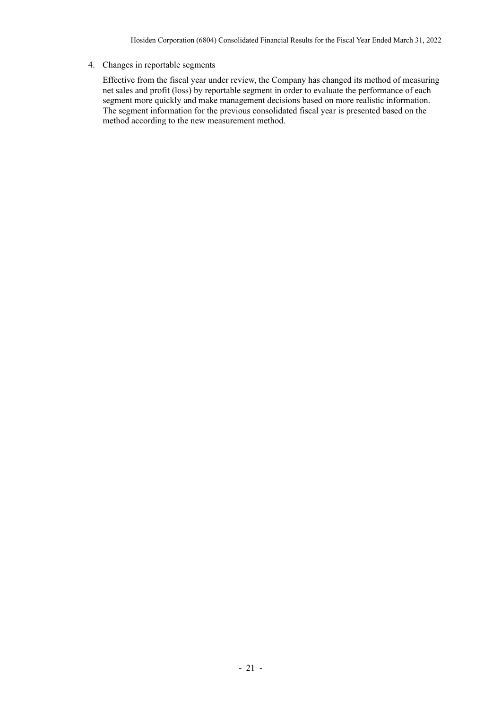### 4. Changes in reportable segments

Effective from the fiscal year under review, the Company has changed its method of measuring net sales and profit (loss) by reportable segment in order to evaluate the performance of each segment more quickly and make management decisions based on more realistic information. The segment information for the previous consolidated fiscal year is presented based on the method according to the new measurement method.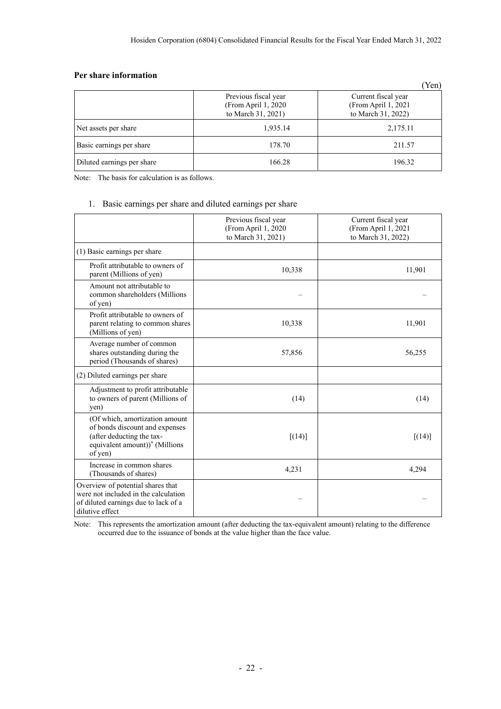### **Per share information**

|                            |                                                                   | Yen)                                                             |
|----------------------------|-------------------------------------------------------------------|------------------------------------------------------------------|
|                            | Previous fiscal year<br>(From April 1, 2020<br>to March 31, 2021) | Current fiscal year<br>(From April 1, 2021<br>to March 31, 2022) |
| Net assets per share       | 1,935.14                                                          | 2,175.11                                                         |
| Basic earnings per share   | 178.70                                                            | 211.57                                                           |
| Diluted earnings per share | 166.28                                                            | 196.32                                                           |

Note: The basis for calculation is as follows.

### 1. Basic earnings per share and diluted earnings per share

|                                                                                                                                                        | Previous fiscal year<br>(From April 1, 2020<br>to March 31, 2021) | Current fiscal year<br>(From April 1, 2021<br>to March 31, 2022) |  |
|--------------------------------------------------------------------------------------------------------------------------------------------------------|-------------------------------------------------------------------|------------------------------------------------------------------|--|
| (1) Basic earnings per share                                                                                                                           |                                                                   |                                                                  |  |
| Profit attributable to owners of<br>parent (Millions of yen)                                                                                           | 10,338                                                            | 11,901                                                           |  |
| Amount not attributable to<br>common shareholders (Millions<br>of yen)                                                                                 |                                                                   |                                                                  |  |
| Profit attributable to owners of<br>parent relating to common shares<br>(Millions of yen)                                                              | 10,338                                                            | 11,901                                                           |  |
| Average number of common<br>shares outstanding during the<br>period (Thousands of shares)                                                              | 57,856                                                            | 56,255                                                           |  |
| (2) Diluted earnings per share                                                                                                                         |                                                                   |                                                                  |  |
| Adjustment to profit attributable<br>to owners of parent (Millions of<br>yen)                                                                          | (14)                                                              | (14)                                                             |  |
| (Of which, amortization amount<br>of bonds discount and expenses<br>(after deducting the tax-<br>equivalent amount)) <sup>*</sup> (Millions<br>of yen) | [(14)]                                                            | [(14)]                                                           |  |
| Increase in common shares<br>(Thousands of shares)                                                                                                     | 4,231                                                             | 4,294                                                            |  |
| Overview of potential shares that<br>were not included in the calculation<br>of diluted earnings due to lack of a<br>dilutive effect                   |                                                                   |                                                                  |  |

Note: This represents the amortization amount (after deducting the tax-equivalent amount) relating to the difference occurred due to the issuance of bonds at the value higher than the face value.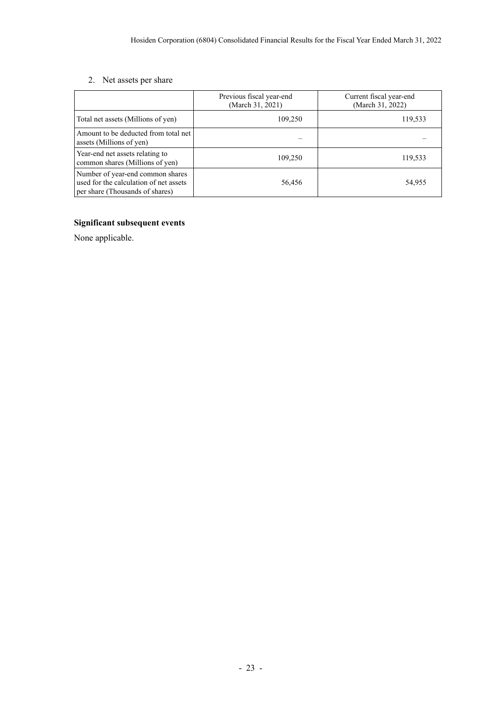# 2. Net assets per share

|                                                                                                               | Previous fiscal year-end<br>(March 31, 2021) | Current fiscal year-end<br>(March 31, 2022) |  |
|---------------------------------------------------------------------------------------------------------------|----------------------------------------------|---------------------------------------------|--|
| Total net assets (Millions of yen)                                                                            | 109,250                                      | 119,533                                     |  |
| Amount to be deducted from total net<br>assets (Millions of yen)                                              |                                              |                                             |  |
| Year-end net assets relating to<br>common shares (Millions of yen)                                            | 109,250                                      | 119,533                                     |  |
| Number of year-end common shares<br>used for the calculation of net assets<br>per share (Thousands of shares) | 56,456                                       | 54,955                                      |  |

# **Significant subsequent events**

None applicable.